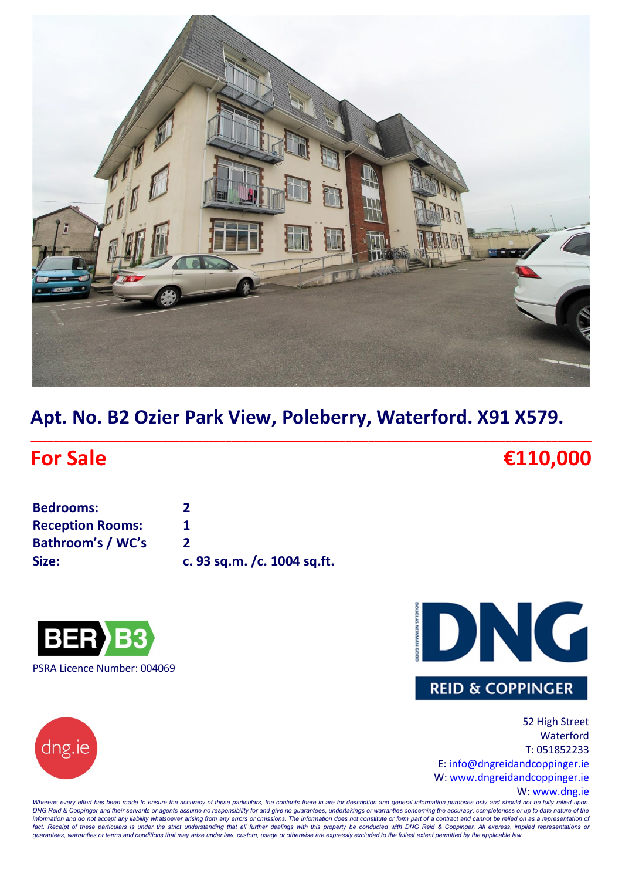

## **Apt. No. B2 Ozier Park View, Poleberry, Waterford. X91 X579.**

**\_\_\_\_\_\_\_\_\_\_\_\_\_\_\_\_\_\_\_\_\_\_\_\_\_\_\_\_\_\_\_\_\_\_\_\_\_\_\_\_\_\_\_\_\_\_\_\_\_\_\_\_\_\_\_\_\_\_\_\_\_\_\_\_\_\_\_\_\_\_\_\_\_\_\_\_\_\_\_\_\_\_\_\_\_\_\_\_\_\_\_\_\_\_\_\_\_\_**

# **For Sale €110,000**

| <b>Bedrooms:</b>         | 2                           |
|--------------------------|-----------------------------|
| <b>Reception Rooms:</b>  |                             |
| <b>Bathroom's / WC's</b> | $\mathbf{z}$                |
| Size:                    | c. 93 sq.m. /c. 1004 sq.ft. |







52 High Street **Waterford** T: 051852233 E: [info@dngreidandcoppinger.ie](mailto:info@dngreidandcoppinger.ie) W: [www.dngreidandcoppinger.ie](http://www.dngreidandcoppinger.ie/)

W: [www.dng.ie](http://www.dng.ie/)

Whereas every effort has been made to ensure the accuracy of these particulars, the contents there in are for description and general information purposes only and should not be fully relied upon. DNG Reid & Coppinger and their servants or agents assume no responsibility for and give no guarantees, undertakings or warranties concerning the accuracy, completeness or up to date nature of the *information and do not accept any liability whatsoever arising from any errors or omissions. The information does not constitute or form part of a contract and cannot be relied on as a representation of*  fact. Receipt of these particulars is under the strict understanding that all further dealings with this property be conducted with DNG Reid & Coppinger. All express, implied representations or *guarantees, warranties or terms and conditions that may arise under law, custom, usage or otherwise are expressly excluded to the fullest extent permitted by the applicable law.*



**REID & COPPINGER**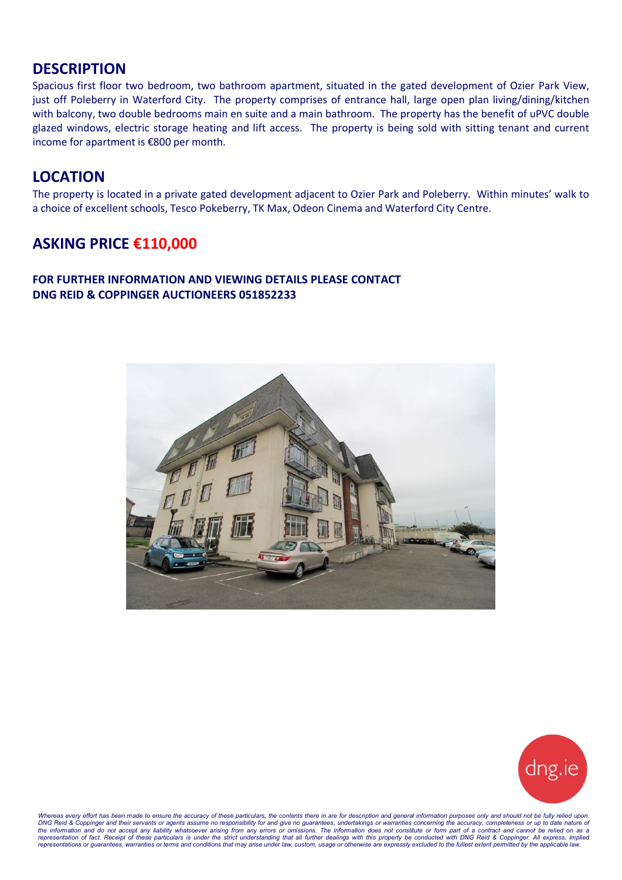#### **DESCRIPTION**

Spacious first floor two bedroom, two bathroom apartment, situated in the gated development of Ozier Park View, just off Poleberry in Waterford City. The property comprises of entrance hall, large open plan living/dining/kitchen with balcony, two double bedrooms main en suite and a main bathroom. The property has the benefit of uPVC double glazed windows, electric storage heating and lift access. The property is being sold with sitting tenant and current income for apartment is €800 per month.

### **LOCATION**

The property is located in a private gated development adjacent to Ozier Park and Poleberry. Within minutes' walk to a choice of excellent schools, Tesco Pokeberry, TK Max, Odeon Cinema and Waterford City Centre.

#### **ASKING PRICE €110,000**

**FOR FURTHER INFORMATION AND VIEWING DETAILS PLEASE CONTACT DNG REID & COPPINGER AUCTIONEERS 051852233**





Whereas every effort has been made to ensure the accuracy of these particulars, the contents there in are for description and general information purposes only and should not be fully relied upon. DNG Reid & Coppinger and their servants or agents assume no responsibility for and give no guarantes, undertakings or warranties concerning the accuracy, completeness or up to date nature of<br>the information and do not acce representation of fact. Receipt of these particulars is under the strict understanding that all further dealings with this property be conducted with DNG Reid & Coppinger. All express, implied<br>representations or guarantees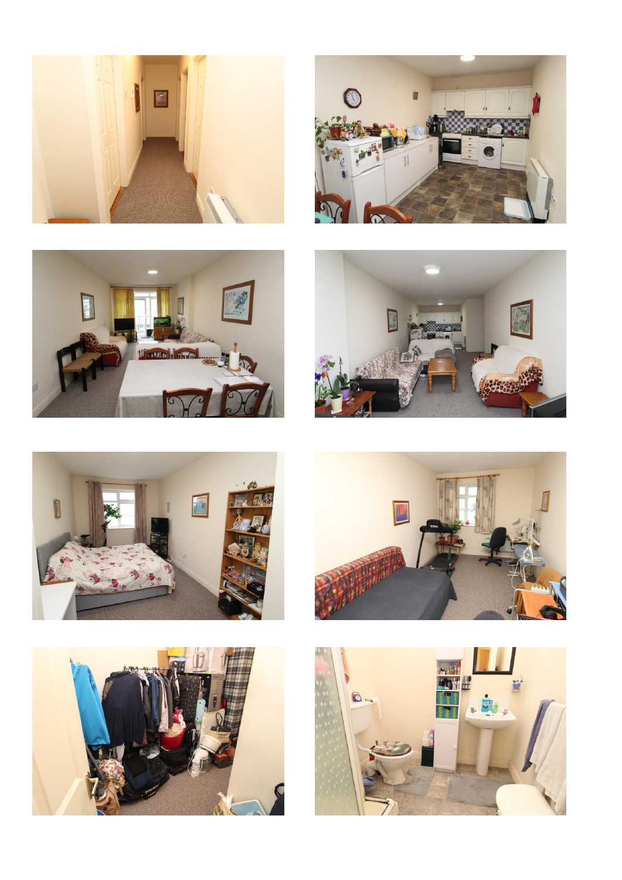